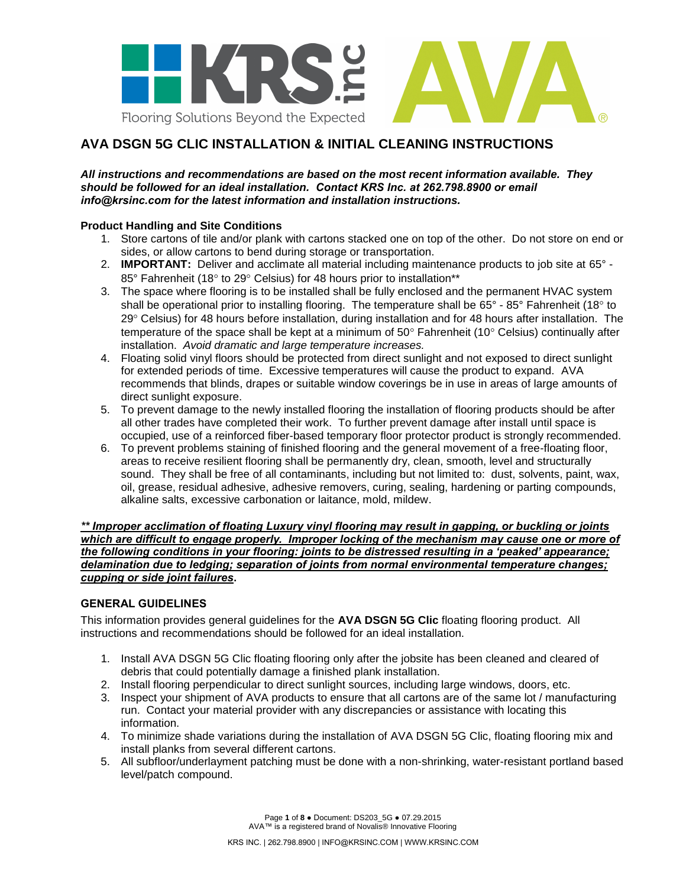

# **AVA DSGN 5G CLIC INSTALLATION & INITIAL CLEANING INSTRUCTIONS**

### *All instructions and recommendations are based on the most recent information available. They should be followed for an ideal installation. Contact KRS Inc. at 262.798.8900 or email info@krsinc.com for the latest information and installation instructions.*

## **Product Handling and Site Conditions**

- 1. Store cartons of tile and/or plank with cartons stacked one on top of the other. Do not store on end or sides, or allow cartons to bend during storage or transportation.
- 2. **IMPORTANT:** Deliver and acclimate all material including maintenance products to job site at 65° 85° Fahrenheit (18° to 29° Celsius) for 48 hours prior to installation\*\*
- 3. The space where flooring is to be installed shall be fully enclosed and the permanent HVAC system shall be operational prior to installing flooring. The temperature shall be  $65^{\circ}$  - 85° Fahrenheit (18° to 29° Celsius) for 48 hours before installation, during installation and for 48 hours after installation. The temperature of the space shall be kept at a minimum of  $50^{\circ}$  Fahrenheit (10 $^{\circ}$  Celsius) continually after installation. *Avoid dramatic and large temperature increases.*
- 4. Floating solid vinyl floors should be protected from direct sunlight and not exposed to direct sunlight for extended periods of time. Excessive temperatures will cause the product to expand. AVA recommends that blinds, drapes or suitable window coverings be in use in areas of large amounts of direct sunlight exposure.
- 5. To prevent damage to the newly installed flooring the installation of flooring products should be after all other trades have completed their work. To further prevent damage after install until space is occupied, use of a reinforced fiber-based temporary floor protector product is strongly recommended.
- 6. To prevent problems staining of finished flooring and the general movement of a free-floating floor, areas to receive resilient flooring shall be permanently dry, clean, smooth, level and structurally sound. They shall be free of all contaminants, including but not limited to: dust, solvents, paint, wax, oil, grease, residual adhesive, adhesive removers, curing, sealing, hardening or parting compounds, alkaline salts, excessive carbonation or laitance, mold, mildew.

*\*\* Improper acclimation of floating Luxury vinyl flooring may result in gapping, or buckling or joints which are difficult to engage properly. Improper locking of the mechanism may cause one or more of the following conditions in your flooring: joints to be distressed resulting in a 'peaked' appearance; delamination due to ledging; separation of joints from normal environmental temperature changes; cupping or side joint failures***.**

# **GENERAL GUIDELINES**

This information provides general guidelines for the **AVA DSGN 5G Clic** floating flooring product. All instructions and recommendations should be followed for an ideal installation.

- 1. Install AVA DSGN 5G Clic floating flooring only after the jobsite has been cleaned and cleared of debris that could potentially damage a finished plank installation.
- 2. Install flooring perpendicular to direct sunlight sources, including large windows, doors, etc.
- 3. Inspect your shipment of AVA products to ensure that all cartons are of the same lot / manufacturing run. Contact your material provider with any discrepancies or assistance with locating this information.
- 4. To minimize shade variations during the installation of AVA DSGN 5G Clic, floating flooring mix and install planks from several different cartons.
- 5. All subfloor/underlayment patching must be done with a non-shrinking, water-resistant portland based level/patch compound.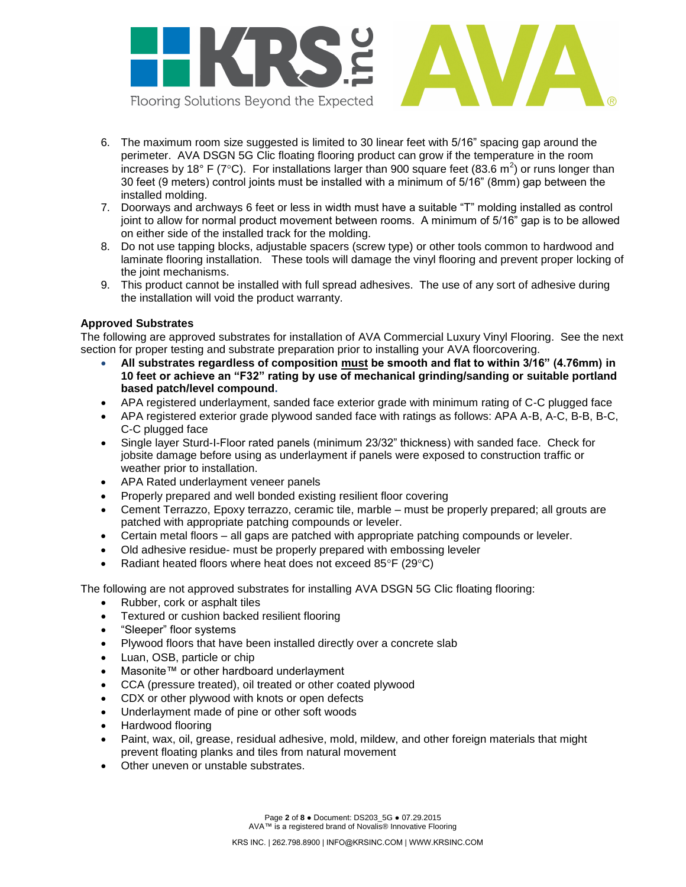

- 6. The maximum room size suggested is limited to 30 linear feet with 5/16" spacing gap around the perimeter. AVA DSGN 5G Clic floating flooring product can grow if the temperature in the room increases by 18° F (7°C). For installations larger than 900 square feet (83.6 m<sup>2</sup>) or runs longer than 30 feet (9 meters) control joints must be installed with a minimum of 5/16" (8mm) gap between the installed molding.
- 7. Doorways and archways 6 feet or less in width must have a suitable "T" molding installed as control joint to allow for normal product movement between rooms. A minimum of 5/16" gap is to be allowed on either side of the installed track for the molding.
- 8. Do not use tapping blocks, adjustable spacers (screw type) or other tools common to hardwood and laminate flooring installation. These tools will damage the vinyl flooring and prevent proper locking of the joint mechanisms.
- 9. This product cannot be installed with full spread adhesives. The use of any sort of adhesive during the installation will void the product warranty.

# **Approved Substrates**

The following are approved substrates for installation of AVA Commercial Luxury Vinyl Flooring. See the next section for proper testing and substrate preparation prior to installing your AVA floorcovering.

- **All substrates regardless of composition must be smooth and flat to within 3/16" (4.76mm) in 10 feet or achieve an "F32" rating by use of mechanical grinding/sanding or suitable portland based patch/level compound.**
- APA registered underlayment, sanded face exterior grade with minimum rating of C-C plugged face
- APA registered exterior grade plywood sanded face with ratings as follows: APA A-B, A-C, B-B, B-C, C-C plugged face
- Single layer Sturd-I-Floor rated panels (minimum 23/32" thickness) with sanded face. Check for jobsite damage before using as underlayment if panels were exposed to construction traffic or weather prior to installation.
- APA Rated underlayment veneer panels
- Properly prepared and well bonded existing resilient floor covering
- Cement Terrazzo, Epoxy terrazzo, ceramic tile, marble must be properly prepared; all grouts are patched with appropriate patching compounds or leveler.
- Certain metal floors all gaps are patched with appropriate patching compounds or leveler.
- Old adhesive residue- must be properly prepared with embossing leveler
- Radiant heated floors where heat does not exceed 85°F (29°C)

The following are not approved substrates for installing AVA DSGN 5G Clic floating flooring:

- Rubber, cork or asphalt tiles
- Textured or cushion backed resilient flooring
- "Sleeper" floor systems
- Plywood floors that have been installed directly over a concrete slab
- Luan, OSB, particle or chip
- Masonite™ or other hardboard underlayment
- CCA (pressure treated), oil treated or other coated plywood
- CDX or other plywood with knots or open defects
- Underlayment made of pine or other soft woods
- Hardwood flooring
- Paint, wax, oil, grease, residual adhesive, mold, mildew, and other foreign materials that might prevent floating planks and tiles from natural movement
- Other uneven or unstable substrates.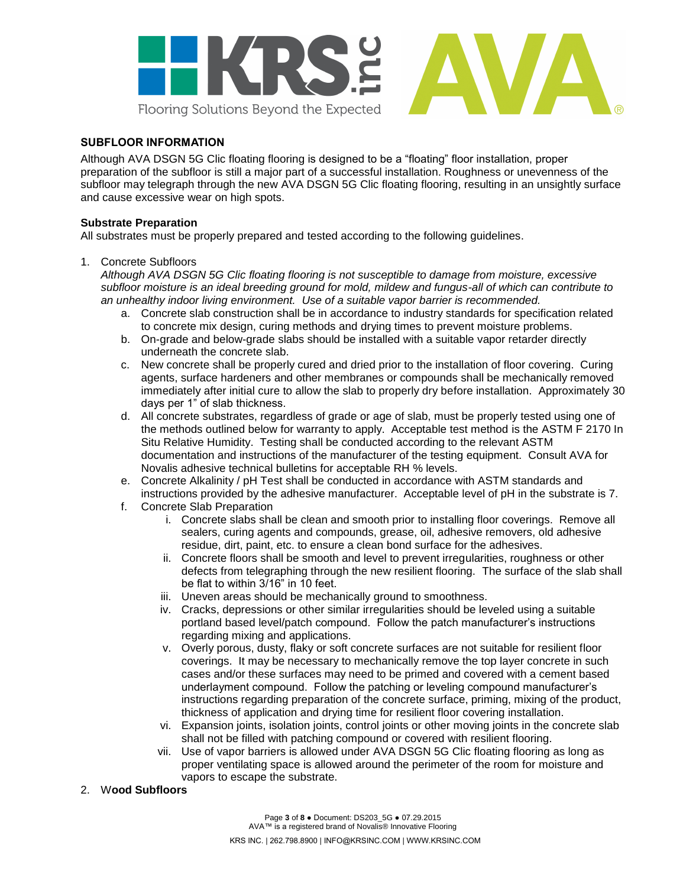

# **SUBFLOOR INFORMATION**

Although AVA DSGN 5G Clic floating flooring is designed to be a "floating" floor installation, proper preparation of the subfloor is still a major part of a successful installation. Roughness or unevenness of the subfloor may telegraph through the new AVA DSGN 5G Clic floating flooring, resulting in an unsightly surface and cause excessive wear on high spots.

### **Substrate Preparation**

All substrates must be properly prepared and tested according to the following guidelines.

1. Concrete Subfloors

*Although AVA DSGN 5G Clic floating flooring is not susceptible to damage from moisture, excessive subfloor moisture is an ideal breeding ground for mold, mildew and fungus-all of which can contribute to an unhealthy indoor living environment. Use of a suitable vapor barrier is recommended.*

- a. Concrete slab construction shall be in accordance to industry standards for specification related to concrete mix design, curing methods and drying times to prevent moisture problems.
- b. On-grade and below-grade slabs should be installed with a suitable vapor retarder directly underneath the concrete slab.
- c. New concrete shall be properly cured and dried prior to the installation of floor covering. Curing agents, surface hardeners and other membranes or compounds shall be mechanically removed immediately after initial cure to allow the slab to properly dry before installation. Approximately 30 days per 1" of slab thickness.
- d. All concrete substrates, regardless of grade or age of slab, must be properly tested using one of the methods outlined below for warranty to apply. Acceptable test method is the ASTM F 2170 In Situ Relative Humidity. Testing shall be conducted according to the relevant ASTM documentation and instructions of the manufacturer of the testing equipment. Consult AVA for Novalis adhesive technical bulletins for acceptable RH % levels.
- e. Concrete Alkalinity / pH Test shall be conducted in accordance with ASTM standards and instructions provided by the adhesive manufacturer. Acceptable level of pH in the substrate is 7.
- f. Concrete Slab Preparation
	- i. Concrete slabs shall be clean and smooth prior to installing floor coverings. Remove all sealers, curing agents and compounds, grease, oil, adhesive removers, old adhesive residue, dirt, paint, etc. to ensure a clean bond surface for the adhesives.
	- ii. Concrete floors shall be smooth and level to prevent irregularities, roughness or other defects from telegraphing through the new resilient flooring. The surface of the slab shall be flat to within 3/16" in 10 feet.
	- iii. Uneven areas should be mechanically ground to smoothness.
	- iv. Cracks, depressions or other similar irregularities should be leveled using a suitable portland based level/patch compound. Follow the patch manufacturer's instructions regarding mixing and applications.
	- v. Overly porous, dusty, flaky or soft concrete surfaces are not suitable for resilient floor coverings. It may be necessary to mechanically remove the top layer concrete in such cases and/or these surfaces may need to be primed and covered with a cement based underlayment compound. Follow the patching or leveling compound manufacturer"s instructions regarding preparation of the concrete surface, priming, mixing of the product, thickness of application and drying time for resilient floor covering installation.
	- vi. Expansion joints, isolation joints, control joints or other moving joints in the concrete slab shall not be filled with patching compound or covered with resilient flooring.
	- vii. Use of vapor barriers is allowed under AVA DSGN 5G Clic floating flooring as long as proper ventilating space is allowed around the perimeter of the room for moisture and vapors to escape the substrate.

#### 2. W**ood Subfloors**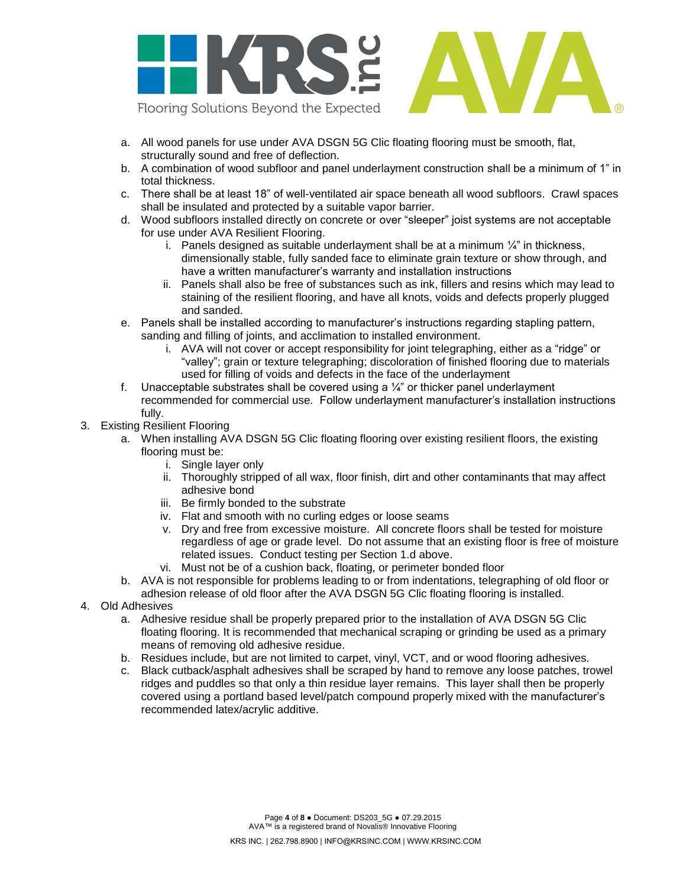

- a. All wood panels for use under AVA DSGN 5G Clic floating flooring must be smooth, flat, structurally sound and free of deflection.
- b. A combination of wood subfloor and panel underlayment construction shall be a minimum of 1" in total thickness.
- c. There shall be at least 18" of well-ventilated air space beneath all wood subfloors. Crawl spaces shall be insulated and protected by a suitable vapor barrier.
- d. Wood subfloors installed directly on concrete or over "sleeper" joist systems are not acceptable for use under AVA Resilient Flooring.
	- i. Panels designed as suitable underlayment shall be at a minimum  $\frac{1}{4}$ " in thickness, dimensionally stable, fully sanded face to eliminate grain texture or show through, and have a written manufacturer"s warranty and installation instructions
	- ii. Panels shall also be free of substances such as ink, fillers and resins which may lead to staining of the resilient flooring, and have all knots, voids and defects properly plugged and sanded.
- e. Panels shall be installed according to manufacturer"s instructions regarding stapling pattern, sanding and filling of joints, and acclimation to installed environment.
	- i. AVA will not cover or accept responsibility for joint telegraphing, either as a "ridge" or "valley"; grain or texture telegraphing; discoloration of finished flooring due to materials used for filling of voids and defects in the face of the underlayment
- f. Unacceptable substrates shall be covered using a  $\frac{1}{4}$ " or thicker panel underlayment recommended for commercial use. Follow underlayment manufacturer"s installation instructions fully.
- 3. Existing Resilient Flooring
	- a. When installing AVA DSGN 5G Clic floating flooring over existing resilient floors, the existing flooring must be:
		- i. Single layer only
		- ii. Thoroughly stripped of all wax, floor finish, dirt and other contaminants that may affect adhesive bond
		- iii. Be firmly bonded to the substrate
		- iv. Flat and smooth with no curling edges or loose seams
		- v. Dry and free from excessive moisture. All concrete floors shall be tested for moisture regardless of age or grade level. Do not assume that an existing floor is free of moisture related issues. Conduct testing per Section 1.d above.
		- vi. Must not be of a cushion back, floating, or perimeter bonded floor
	- b. AVA is not responsible for problems leading to or from indentations, telegraphing of old floor or adhesion release of old floor after the AVA DSGN 5G Clic floating flooring is installed.
- 4. Old Adhesives
	- a. Adhesive residue shall be properly prepared prior to the installation of AVA DSGN 5G Clic floating flooring. It is recommended that mechanical scraping or grinding be used as a primary means of removing old adhesive residue.
	- b. Residues include, but are not limited to carpet, vinyl, VCT, and or wood flooring adhesives.
	- c. Black cutback/asphalt adhesives shall be scraped by hand to remove any loose patches, trowel ridges and puddles so that only a thin residue layer remains. This layer shall then be properly covered using a portland based level/patch compound properly mixed with the manufacturer"s recommended latex/acrylic additive.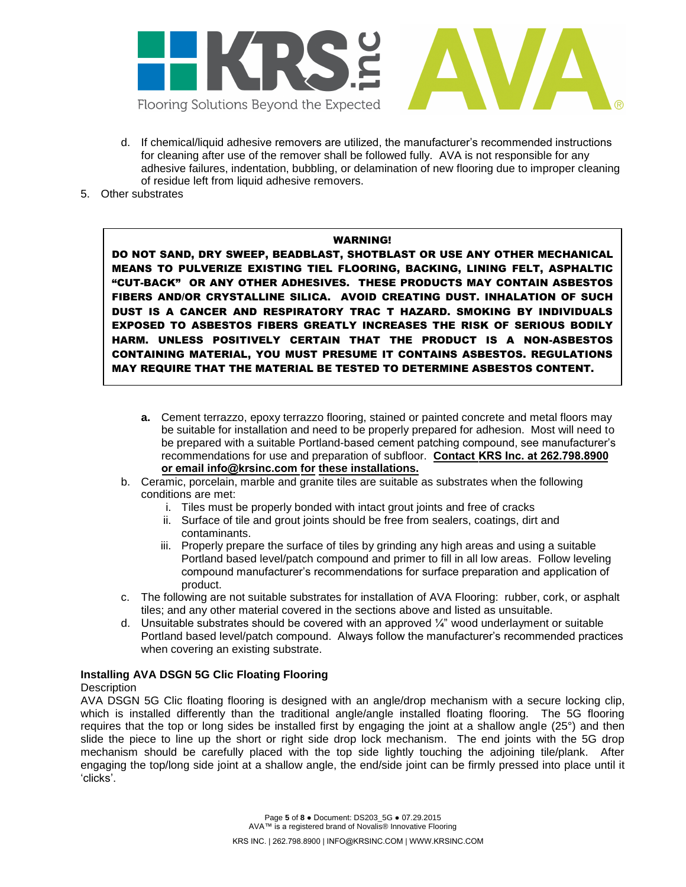

- d. If chemical/liquid adhesive removers are utilized, the manufacturer"s recommended instructions for cleaning after use of the remover shall be followed fully. AVA is not responsible for any adhesive failures, indentation, bubbling, or delamination of new flooring due to improper cleaning of residue left from liquid adhesive removers.
- 5. Other substrates

### WARNING!

DO NOT SAND, DRY SWEEP, BEADBLAST, SHOTBLAST OR USE ANY OTHER MECHANICAL MEANS TO PULVERIZE EXISTING TIEL FLOORING, BACKING, LINING FELT, ASPHALTIC "CUT-BACK" OR ANY OTHER ADHESIVES. THESE PRODUCTS MAY CONTAIN ASBESTOS FIBERS AND/OR CRYSTALLINE SILICA. AVOID CREATING DUST. INHALATION OF SUCH DUST IS A CANCER AND RESPIRATORY TRAC T HAZARD. SMOKING BY INDIVIDUALS EXPOSED TO ASBESTOS FIBERS GREATLY INCREASES THE RISK OF SERIOUS BODILY HARM. UNLESS POSITIVELY CERTAIN THAT THE PRODUCT IS A NON-ASBESTOS CONTAINING MATERIAL, YOU MUST PRESUME IT CONTAINS ASBESTOS. REGULATIONS MAY REQUIRE THAT THE MATERIAL BE TESTED TO DETERMINE ASBESTOS CONTENT.

- **a.** Cement terrazzo, epoxy terrazzo flooring, stained or painted concrete and metal floors may be suitable for installation and need to be properly prepared for adhesion. Most will need to be prepared with a suitable Portland-based cement patching compound, see manufacturer"s recommendations for use and preparation of subfloor. **Contact KRS Inc. at 262.798.8900 or email info@krsinc.com for these installations.**
- b. Ceramic, porcelain, marble and granite tiles are suitable as substrates when the following conditions are met:
	- i. Tiles must be properly bonded with intact grout joints and free of cracks
	- ii. Surface of tile and grout joints should be free from sealers, coatings, dirt and contaminants.
	- iii. Properly prepare the surface of tiles by grinding any high areas and using a suitable Portland based level/patch compound and primer to fill in all low areas. Follow leveling compound manufacturer"s recommendations for surface preparation and application of product.
- c. The following are not suitable substrates for installation of AVA Flooring: rubber, cork, or asphalt tiles; and any other material covered in the sections above and listed as unsuitable.
- d. Unsuitable substrates should be covered with an approved  $\frac{1}{4}$ " wood underlayment or suitable Portland based level/patch compound. Always follow the manufacturer"s recommended practices when covering an existing substrate.

### **Installing AVA DSGN 5G Clic Floating Flooring**

### **Description**

AVA DSGN 5G Clic floating flooring is designed with an angle/drop mechanism with a secure locking clip, which is installed differently than the traditional angle/angle installed floating flooring. The 5G flooring requires that the top or long sides be installed first by engaging the joint at a shallow angle (25°) and then slide the piece to line up the short or right side drop lock mechanism. The end joints with the 5G drop mechanism should be carefully placed with the top side lightly touching the adjoining tile/plank. After engaging the top/long side joint at a shallow angle, the end/side joint can be firmly pressed into place until it "clicks".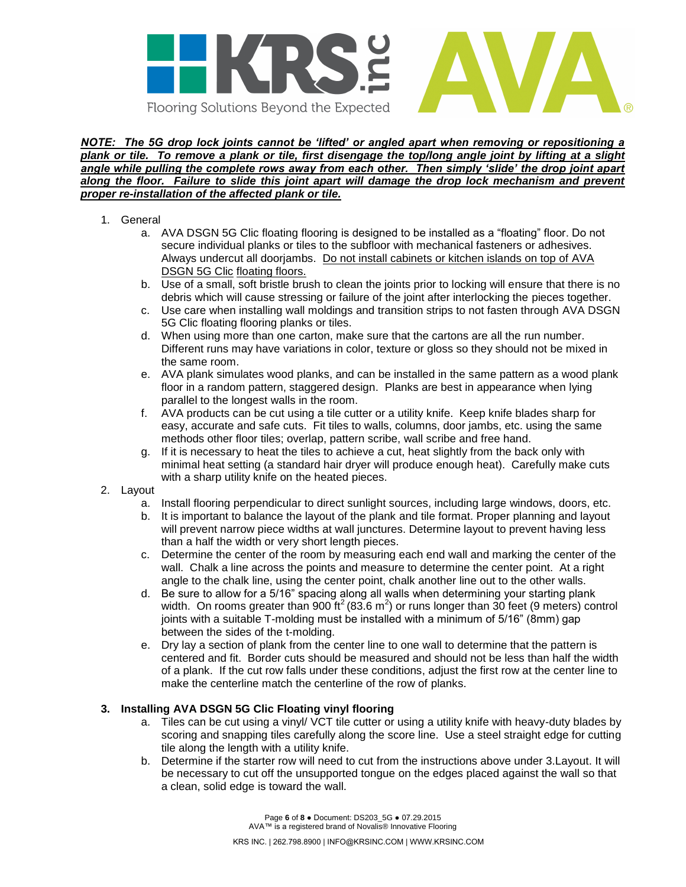

#### *NOTE: The 5G drop lock joints cannot be 'lifted' or angled apart when removing or repositioning a plank or tile. To remove a plank or tile, first disengage the top/long angle joint by lifting at a slight angle while pulling the complete rows away from each other. Then simply 'slide' the drop joint apart along the floor. Failure to slide this joint apart will damage the drop lock mechanism and prevent proper re-installation of the affected plank or tile.*

- 1. General
	- a. AVA DSGN 5G Clic floating flooring is designed to be installed as a "floating" floor. Do not secure individual planks or tiles to the subfloor with mechanical fasteners or adhesives. Always undercut all doorjambs. Do not install cabinets or kitchen islands on top of AVA DSGN 5G Clic floating floors.
	- b. Use of a small, soft bristle brush to clean the joints prior to locking will ensure that there is no debris which will cause stressing or failure of the joint after interlocking the pieces together.
	- c. Use care when installing wall moldings and transition strips to not fasten through AVA DSGN 5G Clic floating flooring planks or tiles.
	- d. When using more than one carton, make sure that the cartons are all the run number. Different runs may have variations in color, texture or gloss so they should not be mixed in the same room.
	- e. AVA plank simulates wood planks, and can be installed in the same pattern as a wood plank floor in a random pattern, staggered design. Planks are best in appearance when lying parallel to the longest walls in the room.
	- f. AVA products can be cut using a tile cutter or a utility knife. Keep knife blades sharp for easy, accurate and safe cuts. Fit tiles to walls, columns, door jambs, etc. using the same methods other floor tiles; overlap, pattern scribe, wall scribe and free hand.
	- g. If it is necessary to heat the tiles to achieve a cut, heat slightly from the back only with minimal heat setting (a standard hair dryer will produce enough heat). Carefully make cuts with a sharp utility knife on the heated pieces.
- 2. Layout
	- a. Install flooring perpendicular to direct sunlight sources, including large windows, doors, etc.
	- b. It is important to balance the layout of the plank and tile format. Proper planning and layout will prevent narrow piece widths at wall junctures. Determine layout to prevent having less than a half the width or very short length pieces.
	- c. Determine the center of the room by measuring each end wall and marking the center of the wall. Chalk a line across the points and measure to determine the center point. At a right angle to the chalk line, using the center point, chalk another line out to the other walls.
	- d. Be sure to allow for a 5/16" spacing along all walls when determining your starting plank width. On rooms greater than 900 ft<sup>2</sup> (83.6 m<sup>2</sup>) or runs longer than 30 feet (9 meters) control joints with a suitable T-molding must be installed with a minimum of 5/16" (8mm) gap between the sides of the t-molding.
	- e. Dry lay a section of plank from the center line to one wall to determine that the pattern is centered and fit. Border cuts should be measured and should not be less than half the width of a plank. If the cut row falls under these conditions, adjust the first row at the center line to make the centerline match the centerline of the row of planks.

# **3. Installing AVA DSGN 5G Clic Floating vinyl flooring**

- a. Tiles can be cut using a vinyl/ VCT tile cutter or using a utility knife with heavy-duty blades by scoring and snapping tiles carefully along the score line. Use a steel straight edge for cutting tile along the length with a utility knife.
- b. Determine if the starter row will need to cut from the instructions above under 3.Layout. It will be necessary to cut off the unsupported tongue on the edges placed against the wall so that a clean, solid edge is toward the wall.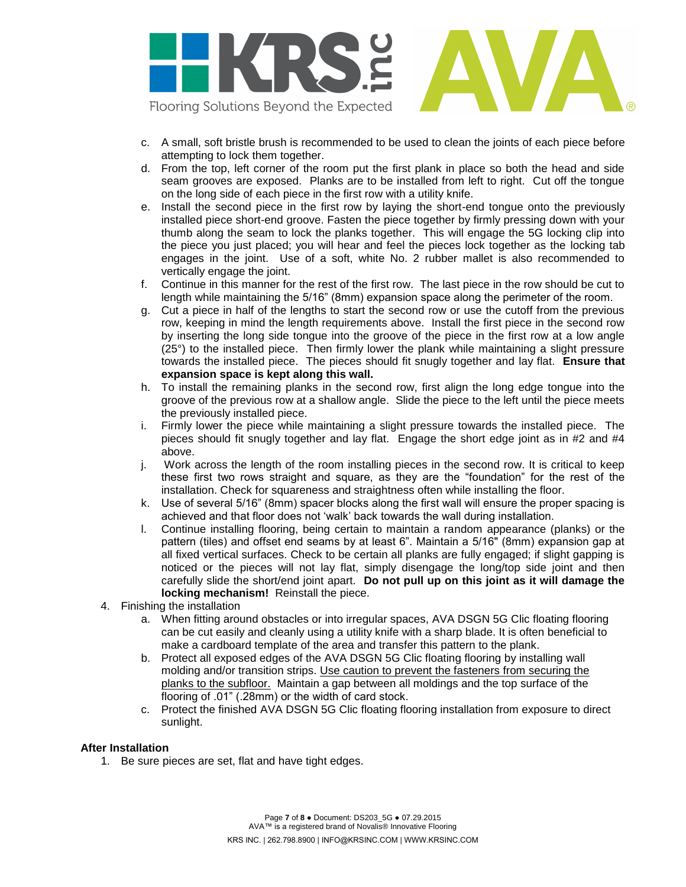

- c. A small, soft bristle brush is recommended to be used to clean the joints of each piece before attempting to lock them together.
- d. From the top, left corner of the room put the first plank in place so both the head and side seam grooves are exposed. Planks are to be installed from left to right. Cut off the tongue on the long side of each piece in the first row with a utility knife.
- e. Install the second piece in the first row by laying the short-end tongue onto the previously installed piece short-end groove. Fasten the piece together by firmly pressing down with your thumb along the seam to lock the planks together. This will engage the 5G locking clip into the piece you just placed; you will hear and feel the pieces lock together as the locking tab engages in the joint. Use of a soft, white No. 2 rubber mallet is also recommended to vertically engage the joint.
- f. Continue in this manner for the rest of the first row. The last piece in the row should be cut to length while maintaining the 5/16" (8mm) expansion space along the perimeter of the room.
- g. Cut a piece in half of the lengths to start the second row or use the cutoff from the previous row, keeping in mind the length requirements above. Install the first piece in the second row by inserting the long side tongue into the groove of the piece in the first row at a low angle (25°) to the installed piece. Then firmly lower the plank while maintaining a slight pressure towards the installed piece. The pieces should fit snugly together and lay flat. **Ensure that expansion space is kept along this wall.**
- h. To install the remaining planks in the second row, first align the long edge tongue into the groove of the previous row at a shallow angle. Slide the piece to the left until the piece meets the previously installed piece.
- i. Firmly lower the piece while maintaining a slight pressure towards the installed piece. The pieces should fit snugly together and lay flat. Engage the short edge joint as in #2 and #4 above.
- j. Work across the length of the room installing pieces in the second row. It is critical to keep these first two rows straight and square, as they are the "foundation" for the rest of the installation. Check for squareness and straightness often while installing the floor.
- k. Use of several 5/16" (8mm) spacer blocks along the first wall will ensure the proper spacing is achieved and that floor does not "walk" back towards the wall during installation.
- l. Continue installing flooring, being certain to maintain a random appearance (planks) or the pattern (tiles) and offset end seams by at least 6". Maintain a 5/16" (8mm) expansion gap at all fixed vertical surfaces. Check to be certain all planks are fully engaged; if slight gapping is noticed or the pieces will not lay flat, simply disengage the long/top side joint and then carefully slide the short/end joint apart. **Do not pull up on this joint as it will damage the locking mechanism!** Reinstall the piece.

# 4. Finishing the installation

- a. When fitting around obstacles or into irregular spaces, AVA DSGN 5G Clic floating flooring can be cut easily and cleanly using a utility knife with a sharp blade. It is often beneficial to make a cardboard template of the area and transfer this pattern to the plank.
- b. Protect all exposed edges of the AVA DSGN 5G Clic floating flooring by installing wall molding and/or transition strips. Use caution to prevent the fasteners from securing the planks to the subfloor. Maintain a gap between all moldings and the top surface of the flooring of .01" (.28mm) or the width of card stock.
- c. Protect the finished AVA DSGN 5G Clic floating flooring installation from exposure to direct sunlight.

### **After Installation**

1. Be sure pieces are set, flat and have tight edges.